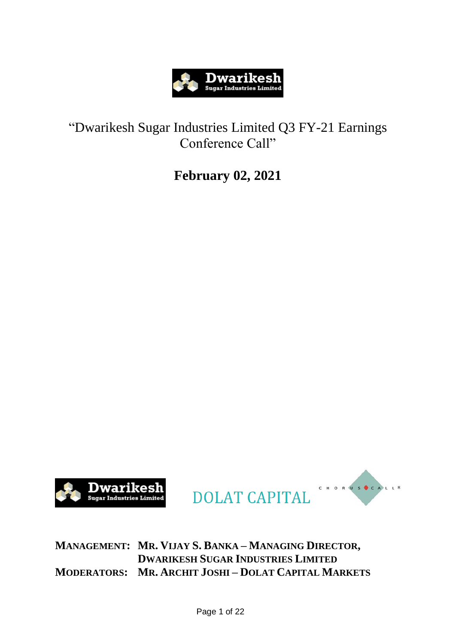

## "Dwarikesh Sugar Industries Limited Q3 FY-21 Earnings Conference Call"

# **February 02, 2021**







**MANAGEMENT: MR. VIJAY S. BANKA – MANAGING DIRECTOR, DWARIKESH SUGAR INDUSTRIES LIMITED MODERATORS: MR. ARCHIT JOSHI – DOLAT CAPITAL MARKETS**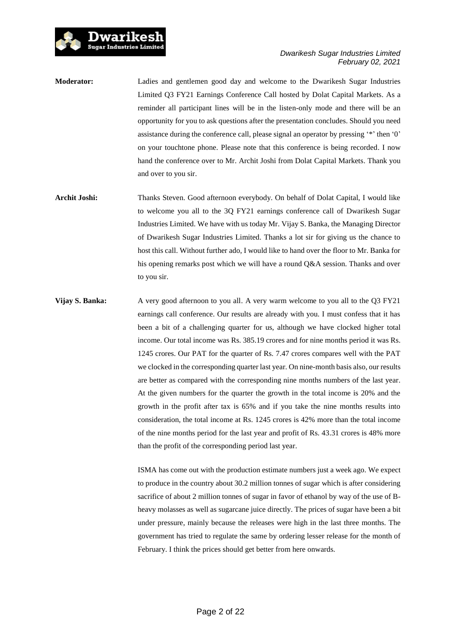

**Moderator:** Ladies and gentlemen good day and welcome to the Dwarikesh Sugar Industries Limited Q3 FY21 Earnings Conference Call hosted by Dolat Capital Markets. As a reminder all participant lines will be in the listen-only mode and there will be an opportunity for you to ask questions after the presentation concludes. Should you need assistance during the conference call, please signal an operator by pressing '\*' then '0' on your touchtone phone. Please note that this conference is being recorded. I now hand the conference over to Mr. Archit Joshi from Dolat Capital Markets. Thank you and over to you sir.

Dwarikesl Sugar Industries Limited

- **Archit Joshi:** Thanks Steven. Good afternoon everybody. On behalf of Dolat Capital, I would like to welcome you all to the 3Q FY21 earnings conference call of Dwarikesh Sugar Industries Limited. We have with us today Mr. Vijay S. Banka, the Managing Director of Dwarikesh Sugar Industries Limited. Thanks a lot sir for giving us the chance to host this call. Without further ado, I would like to hand over the floor to Mr. Banka for his opening remarks post which we will have a round Q&A session. Thanks and over to you sir.
- **Vijay S. Banka:** A very good afternoon to you all. A very warm welcome to you all to the Q3 FY21 earnings call conference. Our results are already with you. I must confess that it has been a bit of a challenging quarter for us, although we have clocked higher total income. Our total income was Rs. 385.19 crores and for nine months period it was Rs. 1245 crores. Our PAT for the quarter of Rs. 7.47 crores compares well with the PAT we clocked in the corresponding quarter last year. On nine-month basis also, our results are better as compared with the corresponding nine months numbers of the last year. At the given numbers for the quarter the growth in the total income is 20% and the growth in the profit after tax is 65% and if you take the nine months results into consideration, the total income at Rs. 1245 crores is 42% more than the total income of the nine months period for the last year and profit of Rs. 43.31 crores is 48% more than the profit of the corresponding period last year.

ISMA has come out with the production estimate numbers just a week ago. We expect to produce in the country about 30.2 million tonnes of sugar which is after considering sacrifice of about 2 million tonnes of sugar in favor of ethanol by way of the use of Bheavy molasses as well as sugarcane juice directly. The prices of sugar have been a bit under pressure, mainly because the releases were high in the last three months. The government has tried to regulate the same by ordering lesser release for the month of February. I think the prices should get better from here onwards.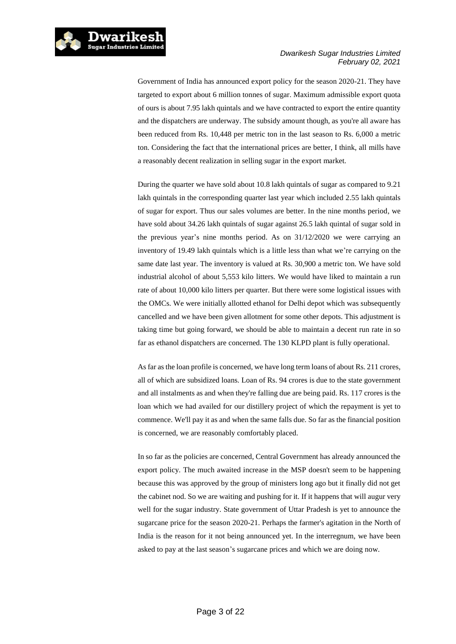

Government of India has announced export policy for the season 2020-21. They have targeted to export about 6 million tonnes of sugar. Maximum admissible export quota of ours is about 7.95 lakh quintals and we have contracted to export the entire quantity and the dispatchers are underway. The subsidy amount though, as you're all aware has been reduced from Rs. 10,448 per metric ton in the last season to Rs. 6,000 a metric ton. Considering the fact that the international prices are better, I think, all mills have a reasonably decent realization in selling sugar in the export market.

During the quarter we have sold about 10.8 lakh quintals of sugar as compared to 9.21 lakh quintals in the corresponding quarter last year which included 2.55 lakh quintals of sugar for export. Thus our sales volumes are better. In the nine months period, we have sold about 34.26 lakh quintals of sugar against 26.5 lakh quintal of sugar sold in the previous year's nine months period. As on 31/12/2020 we were carrying an inventory of 19.49 lakh quintals which is a little less than what we're carrying on the same date last year. The inventory is valued at Rs. 30,900 a metric ton. We have sold industrial alcohol of about 5,553 kilo litters. We would have liked to maintain a run rate of about 10,000 kilo litters per quarter. But there were some logistical issues with the OMCs. We were initially allotted ethanol for Delhi depot which was subsequently cancelled and we have been given allotment for some other depots. This adjustment is taking time but going forward, we should be able to maintain a decent run rate in so far as ethanol dispatchers are concerned. The 130 KLPD plant is fully operational.

As far as the loan profile is concerned, we have long term loans of about Rs. 211 crores, all of which are subsidized loans. Loan of Rs. 94 crores is due to the state government and all instalments as and when they're falling due are being paid. Rs. 117 crores is the loan which we had availed for our distillery project of which the repayment is yet to commence. We'll pay it as and when the same falls due. So far as the financial position is concerned, we are reasonably comfortably placed.

In so far as the policies are concerned, Central Government has already announced the export policy. The much awaited increase in the MSP doesn't seem to be happening because this was approved by the group of ministers long ago but it finally did not get the cabinet nod. So we are waiting and pushing for it. If it happens that will augur very well for the sugar industry. State government of Uttar Pradesh is yet to announce the sugarcane price for the season 2020-21. Perhaps the farmer's agitation in the North of India is the reason for it not being announced yet. In the interregnum, we have been asked to pay at the last season's sugarcane prices and which we are doing now.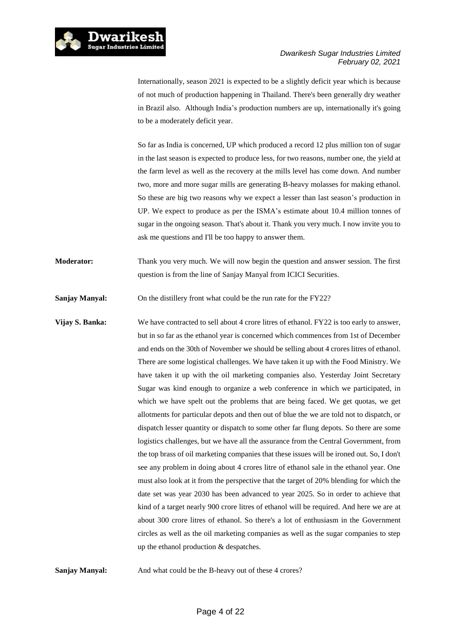

Internationally, season 2021 is expected to be a slightly deficit year which is because of not much of production happening in Thailand. There's been generally dry weather in Brazil also. Although India's production numbers are up, internationally it's going to be a moderately deficit year.

So far as India is concerned, UP which produced a record 12 plus million ton of sugar in the last season is expected to produce less, for two reasons, number one, the yield at the farm level as well as the recovery at the mills level has come down. And number two, more and more sugar mills are generating B-heavy molasses for making ethanol. So these are big two reasons why we expect a lesser than last season's production in UP. We expect to produce as per the ISMA's estimate about 10.4 million tonnes of sugar in the ongoing season. That's about it. Thank you very much. I now invite you to ask me questions and I'll be too happy to answer them.

**Moderator:** Thank you very much. We will now begin the question and answer session. The first question is from the line of Sanjay Manyal from ICICI Securities.

**Sanjay Manyal:** On the distillery front what could be the run rate for the FY22?

**Vijay S. Banka:** We have contracted to sell about 4 crore litres of ethanol. FY22 is too early to answer, but in so far as the ethanol year is concerned which commences from 1st of December and ends on the 30th of November we should be selling about 4 crores litres of ethanol. There are some logistical challenges. We have taken it up with the Food Ministry. We have taken it up with the oil marketing companies also. Yesterday Joint Secretary Sugar was kind enough to organize a web conference in which we participated, in which we have spelt out the problems that are being faced. We get quotas, we get allotments for particular depots and then out of blue the we are told not to dispatch, or dispatch lesser quantity or dispatch to some other far flung depots. So there are some logistics challenges, but we have all the assurance from the Central Government, from the top brass of oil marketing companies that these issues will be ironed out. So, I don't see any problem in doing about 4 crores litre of ethanol sale in the ethanol year. One must also look at it from the perspective that the target of 20% blending for which the date set was year 2030 has been advanced to year 2025. So in order to achieve that kind of a target nearly 900 crore litres of ethanol will be required. And here we are at about 300 crore litres of ethanol. So there's a lot of enthusiasm in the Government circles as well as the oil marketing companies as well as the sugar companies to step up the ethanol production & despatches.

**Sanjay Manyal:** And what could be the B-heavy out of these 4 crores?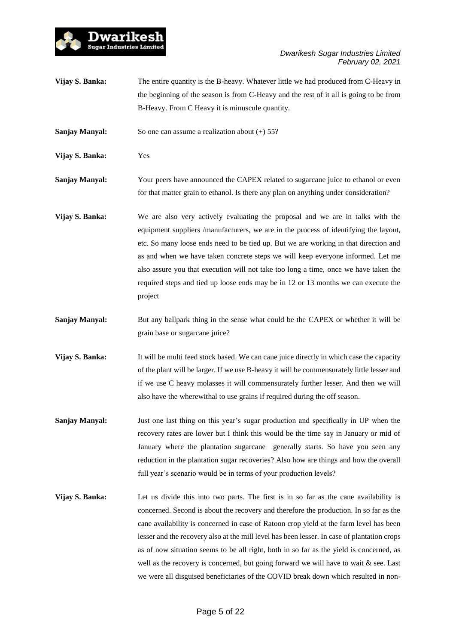

**Vijay S. Banka:** The entire quantity is the B-heavy. Whatever little we had produced from C-Heavy in the beginning of the season is from C-Heavy and the rest of it all is going to be from B-Heavy. From C Heavy it is minuscule quantity.

**Sanjay Manyal:** So one can assume a realization about (+) 55?

**Vijay S. Banka:** Yes

- **Sanjay Manyal:** Your peers have announced the CAPEX related to sugarcane juice to ethanol or even for that matter grain to ethanol. Is there any plan on anything under consideration?
- **Vijay S. Banka:** We are also very actively evaluating the proposal and we are in talks with the equipment suppliers /manufacturers, we are in the process of identifying the layout, etc. So many loose ends need to be tied up. But we are working in that direction and as and when we have taken concrete steps we will keep everyone informed. Let me also assure you that execution will not take too long a time, once we have taken the required steps and tied up loose ends may be in 12 or 13 months we can execute the project
- **Sanjay Manyal:** But any ballpark thing in the sense what could be the CAPEX or whether it will be grain base or sugarcane juice?
- **Vijay S. Banka:** It will be multi feed stock based. We can cane juice directly in which case the capacity of the plant will be larger. If we use B-heavy it will be commensurately little lesser and if we use C heavy molasses it will commensurately further lesser. And then we will also have the wherewithal to use grains if required during the off season.
- **Sanjay Manyal:** Just one last thing on this year's sugar production and specifically in UP when the recovery rates are lower but I think this would be the time say in January or mid of January where the plantation sugarcane generally starts. So have you seen any reduction in the plantation sugar recoveries? Also how are things and how the overall full year's scenario would be in terms of your production levels?
- **Vijay S. Banka:** Let us divide this into two parts. The first is in so far as the cane availability is concerned. Second is about the recovery and therefore the production. In so far as the cane availability is concerned in case of Ratoon crop yield at the farm level has been lesser and the recovery also at the mill level has been lesser. In case of plantation crops as of now situation seems to be all right, both in so far as the yield is concerned, as well as the recovery is concerned, but going forward we will have to wait & see. Last we were all disguised beneficiaries of the COVID break down which resulted in non-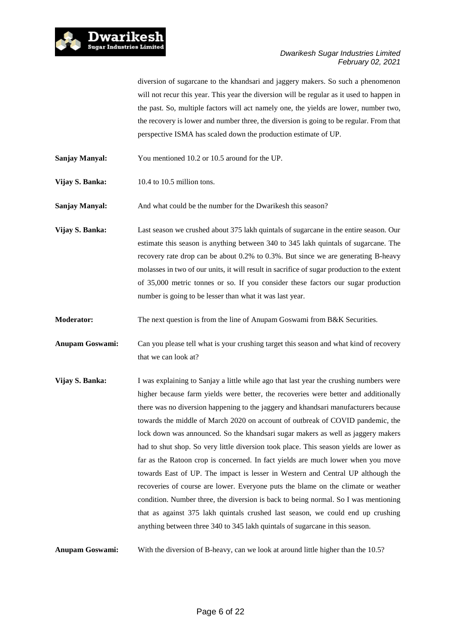

diversion of sugarcane to the khandsari and jaggery makers. So such a phenomenon will not recur this year. This year the diversion will be regular as it used to happen in the past. So, multiple factors will act namely one, the yields are lower, number two, the recovery is lower and number three, the diversion is going to be regular. From that perspective ISMA has scaled down the production estimate of UP.

**Sanjay Manyal:** You mentioned 10.2 or 10.5 around for the UP.

**Vijay S. Banka:** 10.4 to 10.5 million tons.

**Sanjay Manyal:** And what could be the number for the Dwarikesh this season?

**Vijay S. Banka:** Last season we crushed about 375 lakh quintals of sugarcane in the entire season. Our estimate this season is anything between 340 to 345 lakh quintals of sugarcane. The recovery rate drop can be about 0.2% to 0.3%. But since we are generating B-heavy molasses in two of our units, it will result in sacrifice of sugar production to the extent of 35,000 metric tonnes or so. If you consider these factors our sugar production number is going to be lesser than what it was last year.

**Moderator:** The next question is from the line of Anupam Goswami from B&K Securities.

**Anupam Goswami:** Can you please tell what is your crushing target this season and what kind of recovery that we can look at?

**Vijay S. Banka:** I was explaining to Sanjay a little while ago that last year the crushing numbers were higher because farm yields were better, the recoveries were better and additionally there was no diversion happening to the jaggery and khandsari manufacturers because towards the middle of March 2020 on account of outbreak of COVID pandemic, the lock down was announced. So the khandsari sugar makers as well as jaggery makers had to shut shop. So very little diversion took place. This season yields are lower as far as the Ratoon crop is concerned. In fact yields are much lower when you move towards East of UP. The impact is lesser in Western and Central UP although the recoveries of course are lower. Everyone puts the blame on the climate or weather condition. Number three, the diversion is back to being normal. So I was mentioning that as against 375 lakh quintals crushed last season, we could end up crushing anything between three 340 to 345 lakh quintals of sugarcane in this season.

**Anupam Goswami:** With the diversion of B-heavy, can we look at around little higher than the 10.5?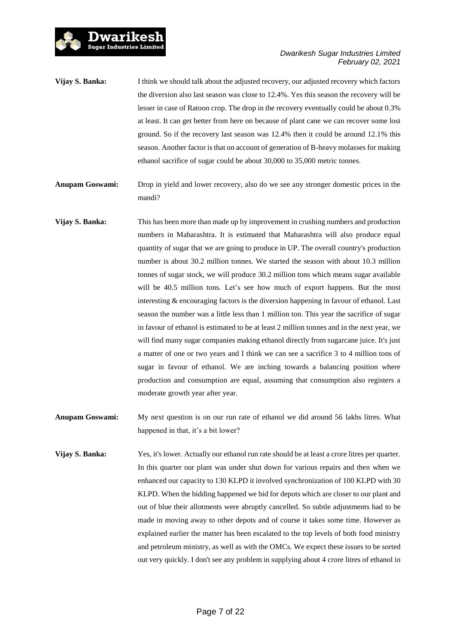

**Vijay S. Banka:** I think we should talk about the adjusted recovery, our adjusted recovery which factors the diversion also last season was close to 12.4%. Yes this season the recovery will be lesser in case of Ratoon crop. The drop in the recovery eventually could be about 0.3% at least. It can get better from here on because of plant cane we can recover some lost ground. So if the recovery last season was 12.4% then it could be around 12.1% this season. Another factor is that on account of generation of B-heavy molasses for making ethanol sacrifice of sugar could be about 30,000 to 35,000 metric tonnes.

Dwarikesh **Sugar Industries Limited** 

**Anupam Goswami:** Drop in yield and lower recovery, also do we see any stronger domestic prices in the mandi?

**Vijay S. Banka:** This has been more than made up by improvement in crushing numbers and production numbers in Maharashtra. It is estimated that Maharashtra will also produce equal quantity of sugar that we are going to produce in UP. The overall country's production number is about 30.2 million tonnes. We started the season with about 10.3 million tonnes of sugar stock, we will produce 30.2 million tons which means sugar available will be 40.5 million tons. Let's see how much of export happens. But the most interesting & encouraging factors is the diversion happening in favour of ethanol. Last season the number was a little less than 1 million ton. This year the sacrifice of sugar in favour of ethanol is estimated to be at least 2 million tonnes and in the next year, we will find many sugar companies making ethanol directly from sugarcane juice. It's just a matter of one or two years and I think we can see a sacrifice 3 to 4 million tons of sugar in favour of ethanol. We are inching towards a balancing position where production and consumption are equal, assuming that consumption also registers a moderate growth year after year.

**Anupam Goswami:** My next question is on our run rate of ethanol we did around 56 lakhs litres. What happened in that, it's a bit lower?

**Vijay S. Banka:** Yes, it's lower. Actually our ethanol run rate should be at least a crore litres per quarter. In this quarter our plant was under shut down for various repairs and then when we enhanced our capacity to 130 KLPD it involved synchronization of 100 KLPD with 30 KLPD. When the bidding happened we bid for depots which are closer to our plant and out of blue their allotments were abruptly cancelled. So subtle adjustments had to be made in moving away to other depots and of course it takes some time. However as explained earlier the matter has been escalated to the top levels of both food ministry and petroleum ministry, as well as with the OMCs. We expect these issues to be sorted out very quickly. I don't see any problem in supplying about 4 crore litres of ethanol in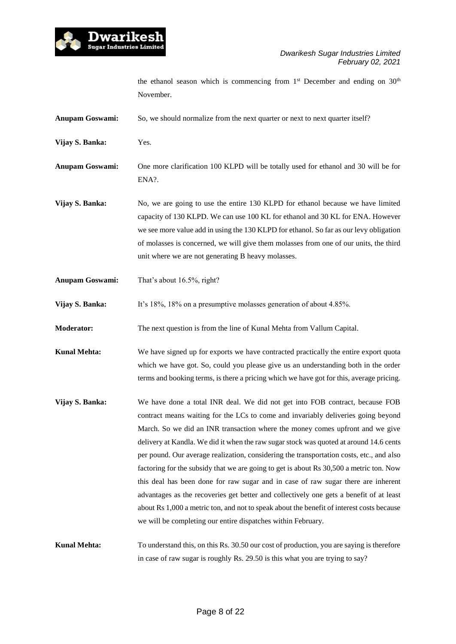

the ethanol season which is commencing from  $1<sup>st</sup>$  December and ending on  $30<sup>th</sup>$ November.

**Anupam Goswami:** So, we should normalize from the next quarter or next to next quarter itself?

**Vijay S. Banka:** Yes.

**Anupam Goswami:** One more clarification 100 KLPD will be totally used for ethanol and 30 will be for ENA?.

**Vijay S. Banka:** No, we are going to use the entire 130 KLPD for ethanol because we have limited capacity of 130 KLPD. We can use 100 KL for ethanol and 30 KL for ENA. However we see more value add in using the 130 KLPD for ethanol. So far as our levy obligation of molasses is concerned, we will give them molasses from one of our units, the third unit where we are not generating B heavy molasses.

**Anupam Goswami:** That's about 16.5%, right?

**Vijay S. Banka:** It's 18%, 18% on a presumptive molasses generation of about 4.85%.

**Moderator:** The next question is from the line of Kunal Mehta from Vallum Capital.

**Kunal Mehta:** We have signed up for exports we have contracted practically the entire export quota which we have got. So, could you please give us an understanding both in the order terms and booking terms, is there a pricing which we have got for this, average pricing.

**Vijay S. Banka:** We have done a total INR deal. We did not get into FOB contract, because FOB contract means waiting for the LCs to come and invariably deliveries going beyond March. So we did an INR transaction where the money comes upfront and we give delivery at Kandla. We did it when the raw sugar stock was quoted at around 14.6 cents per pound. Our average realization, considering the transportation costs, etc., and also factoring for the subsidy that we are going to get is about Rs 30,500 a metric ton. Now this deal has been done for raw sugar and in case of raw sugar there are inherent advantages as the recoveries get better and collectively one gets a benefit of at least about Rs 1,000 a metric ton, and not to speak about the benefit of interest costs because we will be completing our entire dispatches within February.

**Kunal Mehta:** To understand this, on this Rs. 30.50 our cost of production, you are saying is therefore in case of raw sugar is roughly Rs. 29.50 is this what you are trying to say?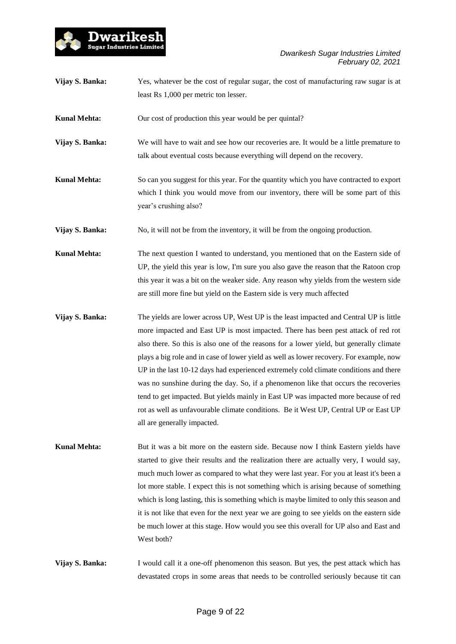

| Vijay S. Banka: | Yes, whatever be the cost of regular sugar, the cost of manufacturing raw sugar is at |
|-----------------|---------------------------------------------------------------------------------------|
|                 | least Rs 1,000 per metric ton lesser.                                                 |

**Kunal Mehta:** Our cost of production this year would be per quintal?

- **Vijay S. Banka:** We will have to wait and see how our recoveries are. It would be a little premature to talk about eventual costs because everything will depend on the recovery.
- **Kunal Mehta:** So can you suggest for this year. For the quantity which you have contracted to export which I think you would move from our inventory, there will be some part of this year's crushing also?

**Vijay S. Banka:** No, it will not be from the inventory, it will be from the ongoing production.

**Kunal Mehta:** The next question I wanted to understand, you mentioned that on the Eastern side of UP, the yield this year is low, I'm sure you also gave the reason that the Ratoon crop this year it was a bit on the weaker side. Any reason why yields from the western side are still more fine but yield on the Eastern side is very much affected

- **Vijay S. Banka:** The yields are lower across UP, West UP is the least impacted and Central UP is little more impacted and East UP is most impacted. There has been pest attack of red rot also there. So this is also one of the reasons for a lower yield, but generally climate plays a big role and in case of lower yield as well as lower recovery. For example, now UP in the last 10-12 days had experienced extremely cold climate conditions and there was no sunshine during the day. So, if a phenomenon like that occurs the recoveries tend to get impacted. But yields mainly in East UP was impacted more because of red rot as well as unfavourable climate conditions. Be it West UP, Central UP or East UP all are generally impacted.
- Kunal Mehta: But it was a bit more on the eastern side. Because now I think Eastern yields have started to give their results and the realization there are actually very, I would say, much much lower as compared to what they were last year. For you at least it's been a lot more stable. I expect this is not something which is arising because of something which is long lasting, this is something which is maybe limited to only this season and it is not like that even for the next year we are going to see yields on the eastern side be much lower at this stage. How would you see this overall for UP also and East and West both?

**Vijay S. Banka:** I would call it a one-off phenomenon this season. But yes, the pest attack which has devastated crops in some areas that needs to be controlled seriously because tit can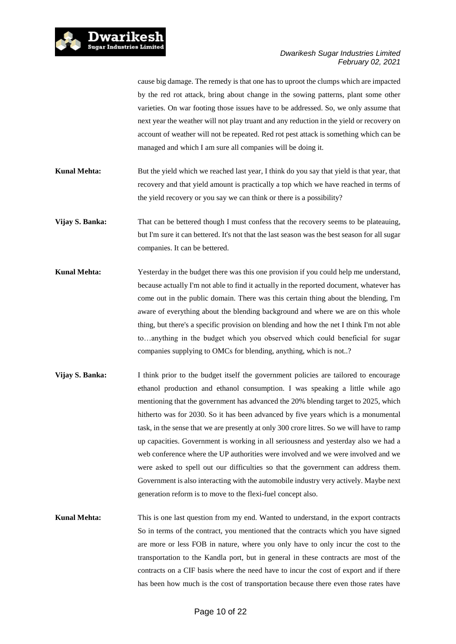

cause big damage. The remedy is that one has to uproot the clumps which are impacted by the red rot attack, bring about change in the sowing patterns, plant some other varieties. On war footing those issues have to be addressed. So, we only assume that next year the weather will not play truant and any reduction in the yield or recovery on account of weather will not be repeated. Red rot pest attack is something which can be managed and which I am sure all companies will be doing it.

**Kunal Mehta:** But the yield which we reached last year, I think do you say that yield is that year, that recovery and that yield amount is practically a top which we have reached in terms of the yield recovery or you say we can think or there is a possibility?

Vijay S. Banka: That can be bettered though I must confess that the recovery seems to be plateauing, but I'm sure it can bettered. It's not that the last season was the best season for all sugar companies. It can be bettered.

- **Kunal Mehta:** Yesterday in the budget there was this one provision if you could help me understand, because actually I'm not able to find it actually in the reported document, whatever has come out in the public domain. There was this certain thing about the blending, I'm aware of everything about the blending background and where we are on this whole thing, but there's a specific provision on blending and how the net I think I'm not able to…anything in the budget which you observed which could beneficial for sugar companies supplying to OMCs for blending, anything, which is not..?
- **Vijay S. Banka:** I think prior to the budget itself the government policies are tailored to encourage ethanol production and ethanol consumption. I was speaking a little while ago mentioning that the government has advanced the 20% blending target to 2025, which hitherto was for 2030. So it has been advanced by five years which is a monumental task, in the sense that we are presently at only 300 crore litres. So we will have to ramp up capacities. Government is working in all seriousness and yesterday also we had a web conference where the UP authorities were involved and we were involved and we were asked to spell out our difficulties so that the government can address them. Government is also interacting with the automobile industry very actively. Maybe next generation reform is to move to the flexi-fuel concept also.

**Kunal Mehta:** This is one last question from my end. Wanted to understand, in the export contracts So in terms of the contract, you mentioned that the contracts which you have signed are more or less FOB in nature, where you only have to only incur the cost to the transportation to the Kandla port, but in general in these contracts are most of the contracts on a CIF basis where the need have to incur the cost of export and if there has been how much is the cost of transportation because there even those rates have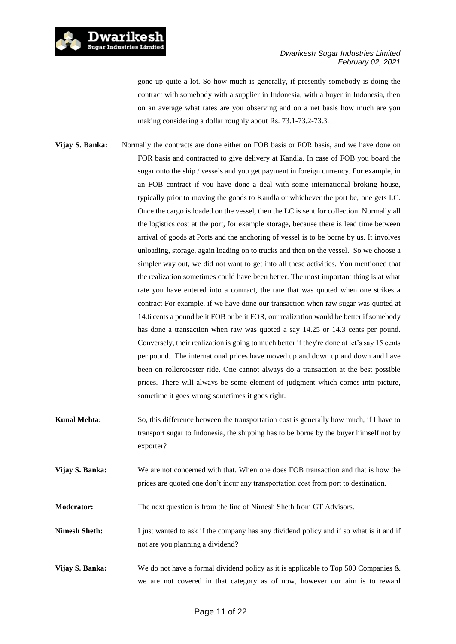

gone up quite a lot. So how much is generally, if presently somebody is doing the contract with somebody with a supplier in Indonesia, with a buyer in Indonesia, then on an average what rates are you observing and on a net basis how much are you making considering a dollar roughly about Rs. 73.1-73.2-73.3.

- **Vijay S. Banka:** Normally the contracts are done either on FOB basis or FOR basis, and we have done on FOR basis and contracted to give delivery at Kandla. In case of FOB you board the sugar onto the ship / vessels and you get payment in foreign currency. For example, in an FOB contract if you have done a deal with some international broking house, typically prior to moving the goods to Kandla or whichever the port be, one gets LC. Once the cargo is loaded on the vessel, then the LC is sent for collection. Normally all the logistics cost at the port, for example storage, because there is lead time between arrival of goods at Ports and the anchoring of vessel is to be borne by us. It involves unloading, storage, again loading on to trucks and then on the vessel. So we choose a simpler way out, we did not want to get into all these activities. You mentioned that the realization sometimes could have been better. The most important thing is at what rate you have entered into a contract, the rate that was quoted when one strikes a contract For example, if we have done our transaction when raw sugar was quoted at 14.6 cents a pound be it FOB or be it FOR, our realization would be better if somebody has done a transaction when raw was quoted a say 14.25 or 14.3 cents per pound. Conversely, their realization is going to much better if they're done at let's say 15 cents per pound. The international prices have moved up and down up and down and have been on rollercoaster ride. One cannot always do a transaction at the best possible prices. There will always be some element of judgment which comes into picture, sometime it goes wrong sometimes it goes right.
- **Kunal Mehta:** So, this difference between the transportation cost is generally how much, if I have to transport sugar to Indonesia, the shipping has to be borne by the buyer himself not by exporter?
- **Vijay S. Banka:** We are not concerned with that. When one does FOB transaction and that is how the prices are quoted one don't incur any transportation cost from port to destination.
- **Moderator:** The next question is from the line of Nimesh Sheth from GT Advisors.
- **Nimesh Sheth:** I just wanted to ask if the company has any dividend policy and if so what is it and if not are you planning a dividend?
- **Vijay S. Banka:** We do not have a formal dividend policy as it is applicable to Top 500 Companies & we are not covered in that category as of now, however our aim is to reward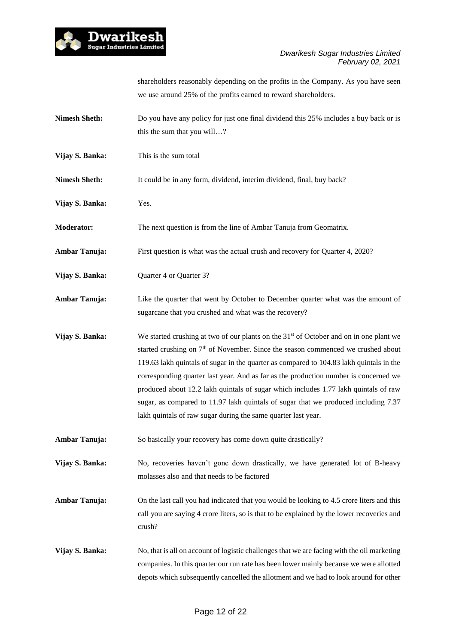

shareholders reasonably depending on the profits in the Company. As you have seen we use around 25% of the profits earned to reward shareholders.

- **Nimesh Sheth:** Do you have any policy for just one final dividend this 25% includes a buy back or is this the sum that you will…?
- **Vijay S. Banka:** This is the sum total
- **Nimesh Sheth:** It could be in any form, dividend, interim dividend, final, buy back?
- **Vijay S. Banka:** Yes.
- **Moderator:** The next question is from the line of Ambar Tanuja from Geomatrix.
- **Ambar Tanuja:** First question is what was the actual crush and recovery for Quarter 4, 2020?
- **Vijay S. Banka:** Quarter 4 or Quarter 3?
- Ambar Tanuja: Like the quarter that went by October to December quarter what was the amount of sugarcane that you crushed and what was the recovery?
- **Vijay S. Banka:** We started crushing at two of our plants on the 31<sup>st</sup> of October and on in one plant we started crushing on  $7<sup>th</sup>$  of November. Since the season commenced we crushed about 119.63 lakh quintals of sugar in the quarter as compared to 104.83 lakh quintals in the corresponding quarter last year. And as far as the production number is concerned we produced about 12.2 lakh quintals of sugar which includes 1.77 lakh quintals of raw sugar, as compared to 11.97 lakh quintals of sugar that we produced including 7.37 lakh quintals of raw sugar during the same quarter last year.
- **Ambar Tanuja:** So basically your recovery has come down quite drastically?
- **Vijay S. Banka:** No, recoveries haven't gone down drastically, we have generated lot of B-heavy molasses also and that needs to be factored
- **Ambar Tanuja:** On the last call you had indicated that you would be looking to 4.5 crore liters and this call you are saying 4 crore liters, so is that to be explained by the lower recoveries and crush?
- **Vijay S. Banka:** No, that is all on account of logistic challenges that we are facing with the oil marketing companies. In this quarter our run rate has been lower mainly because we were allotted depots which subsequently cancelled the allotment and we had to look around for other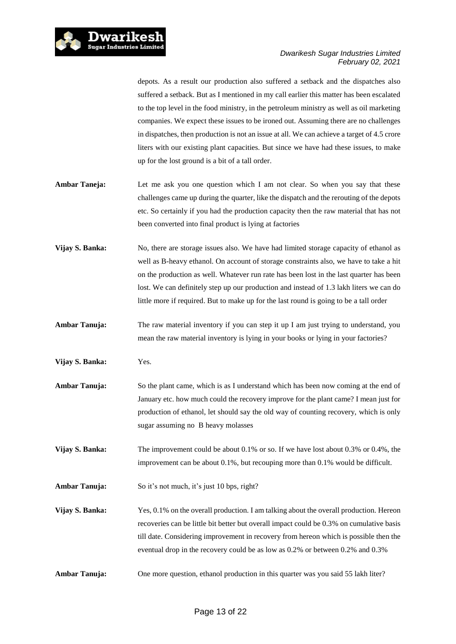

depots. As a result our production also suffered a setback and the dispatches also suffered a setback. But as I mentioned in my call earlier this matter has been escalated to the top level in the food ministry, in the petroleum ministry as well as oil marketing companies. We expect these issues to be ironed out. Assuming there are no challenges in dispatches, then production is not an issue at all. We can achieve a target of 4.5 crore liters with our existing plant capacities. But since we have had these issues, to make up for the lost ground is a bit of a tall order.

- Ambar Taneja: Let me ask you one question which I am not clear. So when you say that these challenges came up during the quarter, like the dispatch and the rerouting of the depots etc. So certainly if you had the production capacity then the raw material that has not been converted into final product is lying at factories
- **Vijay S. Banka:** No, there are storage issues also. We have had limited storage capacity of ethanol as well as B-heavy ethanol. On account of storage constraints also, we have to take a hit on the production as well. Whatever run rate has been lost in the last quarter has been lost. We can definitely step up our production and instead of 1.3 lakh liters we can do little more if required. But to make up for the last round is going to be a tall order
- **Ambar Tanuja:** The raw material inventory if you can step it up I am just trying to understand, you mean the raw material inventory is lying in your books or lying in your factories?
- **Vijay S. Banka:** Yes.
- **Ambar Tanuja:** So the plant came, which is as I understand which has been now coming at the end of January etc. how much could the recovery improve for the plant came? I mean just for production of ethanol, let should say the old way of counting recovery, which is only sugar assuming no B heavy molasses
- **Vijay S. Banka:** The improvement could be about 0.1% or so. If we have lost about 0.3% or 0.4%, the improvement can be about 0.1%, but recouping more than 0.1% would be difficult.

**Ambar Tanuja:** So it's not much, it's just 10 bps, right?

- **Vijay S. Banka:** Yes, 0.1% on the overall production. I am talking about the overall production. Hereon recoveries can be little bit better but overall impact could be 0.3% on cumulative basis till date. Considering improvement in recovery from hereon which is possible then the eventual drop in the recovery could be as low as 0.2% or between 0.2% and 0.3%
- **Ambar Tanuja:** One more question, ethanol production in this quarter was you said 55 lakh liter?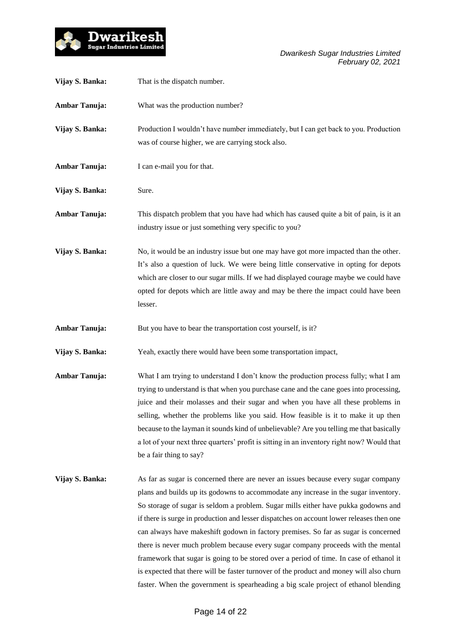

| Vijay S. Banka:      | That is the dispatch number.                                                                                                                                                                                                                                                                                                                                                                                                                                                                                                                                                                                                                                                                                                |
|----------------------|-----------------------------------------------------------------------------------------------------------------------------------------------------------------------------------------------------------------------------------------------------------------------------------------------------------------------------------------------------------------------------------------------------------------------------------------------------------------------------------------------------------------------------------------------------------------------------------------------------------------------------------------------------------------------------------------------------------------------------|
| <b>Ambar Tanuja:</b> | What was the production number?                                                                                                                                                                                                                                                                                                                                                                                                                                                                                                                                                                                                                                                                                             |
| Vijay S. Banka:      | Production I wouldn't have number immediately, but I can get back to you. Production<br>was of course higher, we are carrying stock also.                                                                                                                                                                                                                                                                                                                                                                                                                                                                                                                                                                                   |
| <b>Ambar Tanuja:</b> | I can e-mail you for that.                                                                                                                                                                                                                                                                                                                                                                                                                                                                                                                                                                                                                                                                                                  |
| Vijay S. Banka:      | Sure.                                                                                                                                                                                                                                                                                                                                                                                                                                                                                                                                                                                                                                                                                                                       |
| <b>Ambar Tanuja:</b> | This dispatch problem that you have had which has caused quite a bit of pain, is it an<br>industry issue or just something very specific to you?                                                                                                                                                                                                                                                                                                                                                                                                                                                                                                                                                                            |
| Vijay S. Banka:      | No, it would be an industry issue but one may have got more impacted than the other.<br>It's also a question of luck. We were being little conservative in opting for depots<br>which are closer to our sugar mills. If we had displayed courage maybe we could have<br>opted for depots which are little away and may be there the impact could have been<br>lesser.                                                                                                                                                                                                                                                                                                                                                       |
| <b>Ambar Tanuja:</b> | But you have to bear the transportation cost yourself, is it?                                                                                                                                                                                                                                                                                                                                                                                                                                                                                                                                                                                                                                                               |
| Vijay S. Banka:      | Yeah, exactly there would have been some transportation impact,                                                                                                                                                                                                                                                                                                                                                                                                                                                                                                                                                                                                                                                             |
| <b>Ambar Tanuja:</b> | What I am trying to understand I don't know the production process fully; what I am<br>trying to understand is that when you purchase cane and the cane goes into processing,<br>juice and their molasses and their sugar and when you have all these problems in<br>selling, whether the problems like you said. How feasible is it to make it up then<br>because to the layman it sounds kind of unbelievable? Are you telling me that basically<br>a lot of your next three quarters' profit is sitting in an inventory right now? Would that<br>be a fair thing to say?                                                                                                                                                 |
| Vijay S. Banka:      | As far as sugar is concerned there are never an issues because every sugar company<br>plans and builds up its godowns to accommodate any increase in the sugar inventory.<br>So storage of sugar is seldom a problem. Sugar mills either have pukka godowns and<br>if there is surge in production and lesser dispatches on account lower releases then one<br>can always have makeshift godown in factory premises. So far as sugar is concerned<br>there is never much problem because every sugar company proceeds with the mental<br>framework that sugar is going to be stored over a period of time. In case of ethanol it<br>is expected that there will be faster turnover of the product and money will also churn |

faster. When the government is spearheading a big scale project of ethanol blending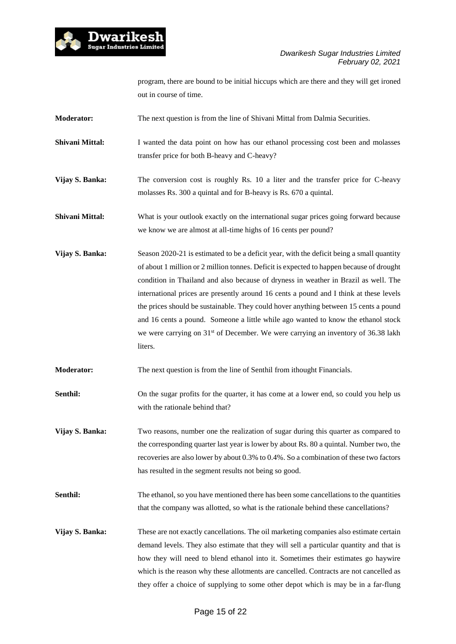

program, there are bound to be initial hiccups which are there and they will get ironed out in course of time.

- **Moderator:** The next question is from the line of Shivani Mittal from Dalmia Securities.
- **Shivani Mittal:** I wanted the data point on how has our ethanol processing cost been and molasses transfer price for both B-heavy and C-heavy?
- **Vijay S. Banka:** The conversion cost is roughly Rs. 10 a liter and the transfer price for C-heavy molasses Rs. 300 a quintal and for B-heavy is Rs. 670 a quintal.
- **Shivani Mittal:** What is your outlook exactly on the international sugar prices going forward because we know we are almost at all-time highs of 16 cents per pound?
- **Vijay S. Banka:** Season 2020-21 is estimated to be a deficit year, with the deficit being a small quantity of about 1 million or 2 million tonnes. Deficit is expected to happen because of drought condition in Thailand and also because of dryness in weather in Brazil as well. The international prices are presently around 16 cents a pound and I think at these levels the prices should be sustainable. They could hover anything between 15 cents a pound and 16 cents a pound. Someone a little while ago wanted to know the ethanol stock we were carrying on 31<sup>st</sup> of December. We were carrying an inventory of 36.38 lakh liters.
- **Moderator:** The next question is from the line of Senthil from ithought Financials.
- **Senthil:** On the sugar profits for the quarter, it has come at a lower end, so could you help us with the rationale behind that?
- **Vijay S. Banka:** Two reasons, number one the realization of sugar during this quarter as compared to the corresponding quarter last year is lower by about Rs. 80 a quintal. Number two, the recoveries are also lower by about 0.3% to 0.4%. So a combination of these two factors has resulted in the segment results not being so good.
- **Senthil:** The ethanol, so you have mentioned there has been some cancellations to the quantities that the company was allotted, so what is the rationale behind these cancellations?
- **Vijay S. Banka:** These are not exactly cancellations. The oil marketing companies also estimate certain demand levels. They also estimate that they will sell a particular quantity and that is how they will need to blend ethanol into it. Sometimes their estimates go haywire which is the reason why these allotments are cancelled. Contracts are not cancelled as they offer a choice of supplying to some other depot which is may be in a far-flung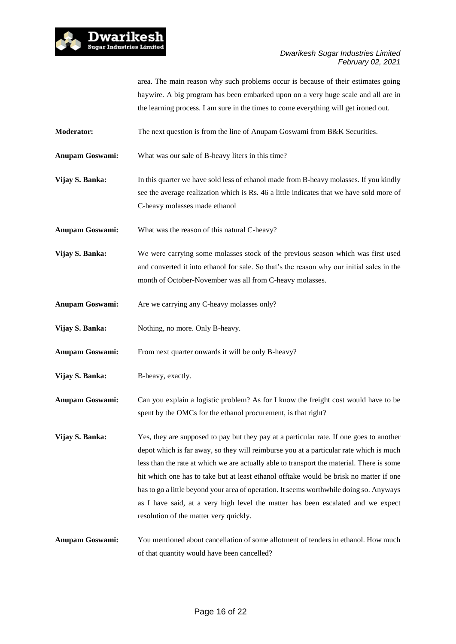

area. The main reason why such problems occur is because of their estimates going haywire. A big program has been embarked upon on a very huge scale and all are in the learning process. I am sure in the times to come everything will get ironed out.

- **Moderator:** The next question is from the line of Anupam Goswami from B&K Securities.
- **Anupam Goswami:** What was our sale of B-heavy liters in this time?
- **Vijay S. Banka:** In this quarter we have sold less of ethanol made from B-heavy molasses. If you kindly see the average realization which is Rs. 46 a little indicates that we have sold more of C-heavy molasses made ethanol
- **Anupam Goswami:** What was the reason of this natural C-heavy?
- **Vijay S. Banka:** We were carrying some molasses stock of the previous season which was first used and converted it into ethanol for sale. So that's the reason why our initial sales in the month of October-November was all from C-heavy molasses.
- **Anupam Goswami:** Are we carrying any C-heavy molasses only?
- **Vijay S. Banka:** Nothing, no more. Only B-heavy.
- **Anupam Goswami:** From next quarter onwards it will be only B-heavy?
- **Vijay S. Banka:** B-heavy, exactly.
- **Anupam Goswami:** Can you explain a logistic problem? As for I know the freight cost would have to be spent by the OMCs for the ethanol procurement, is that right?
- **Vijay S. Banka:** Yes, they are supposed to pay but they pay at a particular rate. If one goes to another depot which is far away, so they will reimburse you at a particular rate which is much less than the rate at which we are actually able to transport the material. There is some hit which one has to take but at least ethanol offtake would be brisk no matter if one hasto go a little beyond your area of operation. It seems worthwhile doing so. Anyways as I have said, at a very high level the matter has been escalated and we expect resolution of the matter very quickly.
- **Anupam Goswami:** You mentioned about cancellation of some allotment of tenders in ethanol. How much of that quantity would have been cancelled?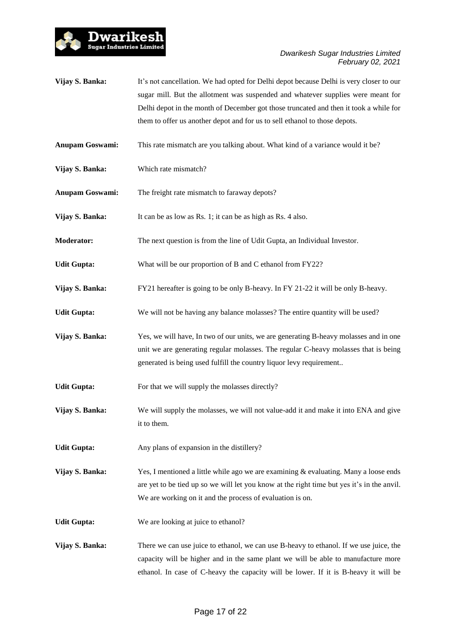

- **Vijay S. Banka:** It's not cancellation. We had opted for Delhi depot because Delhi is very closer to our sugar mill. But the allotment was suspended and whatever supplies were meant for Delhi depot in the month of December got those truncated and then it took a while for them to offer us another depot and for us to sell ethanol to those depots.
- **Anupam Goswami:** This rate mismatch are you talking about. What kind of a variance would it be?
- **Vijay S. Banka:** Which rate mismatch?
- **Anupam Goswami:** The freight rate mismatch to faraway depots?
- **Vijay S. Banka:** It can be as low as Rs. 1; it can be as high as Rs. 4 also.
- **Moderator:** The next question is from the line of Udit Gupta, an Individual Investor.
- **Udit Gupta:** What will be our proportion of B and C ethanol from FY22?
- **Vijay S. Banka:** FY21 hereafter is going to be only B-heavy. In FY 21-22 it will be only B-heavy.
- **Udit Gupta:** We will not be having any balance molasses? The entire quantity will be used?
- **Vijay S. Banka:** Yes, we will have, In two of our units, we are generating B-heavy molasses and in one unit we are generating regular molasses. The regular C-heavy molasses that is being generated is being used fulfill the country liquor levy requirement..
- Udit Gupta: For that we will supply the molasses directly?
- **Vijay S. Banka:** We will supply the molasses, we will not value-add it and make it into ENA and give it to them.
- Udit Gupta: Any plans of expansion in the distillery?
- **Vijay S. Banka:** Yes, I mentioned a little while ago we are examining & evaluating. Many a loose ends are yet to be tied up so we will let you know at the right time but yes it's in the anvil. We are working on it and the process of evaluation is on.
- **Udit Gupta:** We are looking at juice to ethanol?
- **Vijay S. Banka:** There we can use juice to ethanol, we can use B-heavy to ethanol. If we use juice, the capacity will be higher and in the same plant we will be able to manufacture more ethanol. In case of C-heavy the capacity will be lower. If it is B-heavy it will be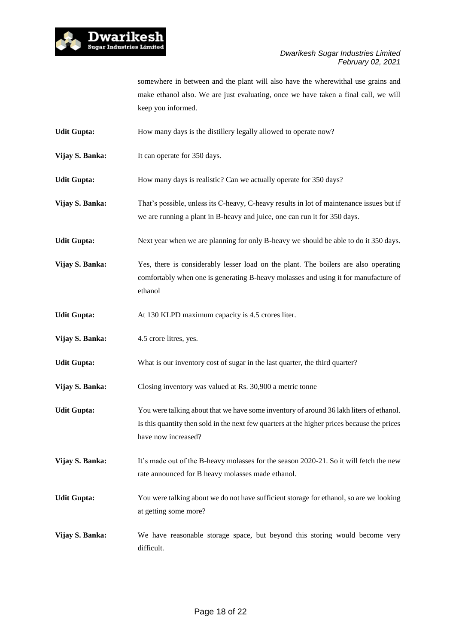

somewhere in between and the plant will also have the wherewithal use grains and make ethanol also. We are just evaluating, once we have taken a final call, we will keep you informed.

- Udit Gupta: How many days is the distillery legally allowed to operate now?
- **Vijay S. Banka:** It can operate for 350 days.

**Udit Gupta:** How many days is realistic? Can we actually operate for 350 days?

- **Vijay S. Banka:** That's possible, unless its C-heavy, C-heavy results in lot of maintenance issues but if we are running a plant in B-heavy and juice, one can run it for 350 days.
- **Udit Gupta:** Next year when we are planning for only B-heavy we should be able to do it 350 days.
- **Vijay S. Banka:** Yes, there is considerably lesser load on the plant. The boilers are also operating comfortably when one is generating B-heavy molasses and using it for manufacture of ethanol
- **Udit Gupta:** At 130 KLPD maximum capacity is 4.5 crores liter.
- **Vijay S. Banka:** 4.5 crore litres, yes.
- **Udit Gupta:** What is our inventory cost of sugar in the last quarter, the third quarter?
- **Vijay S. Banka:** Closing inventory was valued at Rs. 30,900 a metric tonne
- **Udit Gupta:** You were talking about that we have some inventory of around 36 lakh liters of ethanol. Is this quantity then sold in the next few quarters at the higher prices because the prices have now increased?
- **Vijay S. Banka:** It's made out of the B-heavy molasses for the season 2020-21. So it will fetch the new rate announced for B heavy molasses made ethanol.
- **Udit Gupta:** You were talking about we do not have sufficient storage for ethanol, so are we looking at getting some more?
- **Vijay S. Banka:** We have reasonable storage space, but beyond this storing would become very difficult.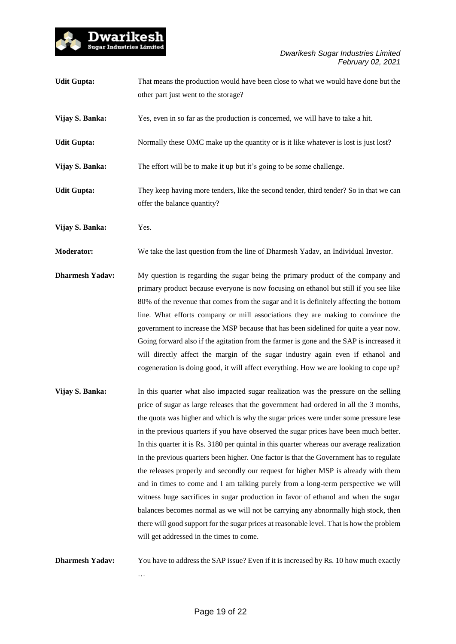

| <b>Udit Gupta:</b>     | That means the production would have been close to what we would have done but the<br>other part just went to the storage?                                                                                                                                                                                                                                                                                                                                                                                                                                                                                                                                                                                                                                                                                               |
|------------------------|--------------------------------------------------------------------------------------------------------------------------------------------------------------------------------------------------------------------------------------------------------------------------------------------------------------------------------------------------------------------------------------------------------------------------------------------------------------------------------------------------------------------------------------------------------------------------------------------------------------------------------------------------------------------------------------------------------------------------------------------------------------------------------------------------------------------------|
| Vijay S. Banka:        | Yes, even in so far as the production is concerned, we will have to take a hit.                                                                                                                                                                                                                                                                                                                                                                                                                                                                                                                                                                                                                                                                                                                                          |
| <b>Udit Gupta:</b>     | Normally these OMC make up the quantity or is it like whatever is lost is just lost?                                                                                                                                                                                                                                                                                                                                                                                                                                                                                                                                                                                                                                                                                                                                     |
| Vijay S. Banka:        | The effort will be to make it up but it's going to be some challenge.                                                                                                                                                                                                                                                                                                                                                                                                                                                                                                                                                                                                                                                                                                                                                    |
| <b>Udit Gupta:</b>     | They keep having more tenders, like the second tender, third tender? So in that we can<br>offer the balance quantity?                                                                                                                                                                                                                                                                                                                                                                                                                                                                                                                                                                                                                                                                                                    |
| Vijay S. Banka:        | Yes.                                                                                                                                                                                                                                                                                                                                                                                                                                                                                                                                                                                                                                                                                                                                                                                                                     |
| <b>Moderator:</b>      | We take the last question from the line of Dharmesh Yadav, an Individual Investor.                                                                                                                                                                                                                                                                                                                                                                                                                                                                                                                                                                                                                                                                                                                                       |
| <b>Dharmesh Yadav:</b> | My question is regarding the sugar being the primary product of the company and<br>primary product because everyone is now focusing on ethanol but still if you see like<br>80% of the revenue that comes from the sugar and it is definitely affecting the bottom<br>line. What efforts company or mill associations they are making to convince the<br>government to increase the MSP because that has been sidelined for quite a year now.<br>Going forward also if the agitation from the farmer is gone and the SAP is increased it<br>will directly affect the margin of the sugar industry again even if ethanol and<br>cogeneration is doing good, it will affect everything. How we are looking to cope up?                                                                                                     |
| Vijay S. Banka:        | In this quarter what also impacted sugar realization was the pressure on the selling<br>price of sugar as large releases that the government had ordered in all the 3 months,<br>the quota was higher and which is why the sugar prices were under some pressure lese<br>in the previous quarters if you have observed the sugar prices have been much better.<br>In this quarter it is Rs. 3180 per quintal in this quarter whereas our average realization<br>in the previous quarters been higher. One factor is that the Government has to regulate<br>the releases properly and secondly our request for higher MSP is already with them<br>and in times to come and I am talking purely from a long-term perspective we will<br>witness huge sacrifices in sugar production in favor of ethanol and when the sugar |

**Dharmesh Yadav:** You have to address the SAP issue? Even if it is increased by Rs. 10 how much exactly …

will get addressed in the times to come.

balances becomes normal as we will not be carrying any abnormally high stock, then there will good support for the sugar prices at reasonable level. That is how the problem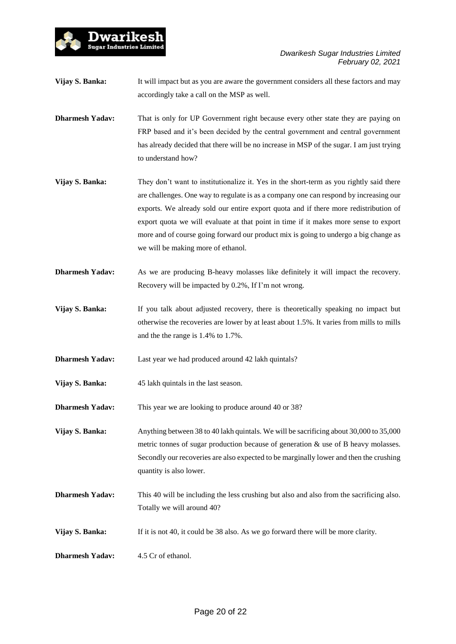

**Vijay S. Banka:** It will impact but as you are aware the government considers all these factors and may accordingly take a call on the MSP as well.

**Dharmesh Yadav:** That is only for UP Government right because every other state they are paying on FRP based and it's been decided by the central government and central government has already decided that there will be no increase in MSP of the sugar. I am just trying to understand how?

- **Vijay S. Banka:** They don't want to institutionalize it. Yes in the short-term as you rightly said there are challenges. One way to regulate is as a company one can respond by increasing our exports. We already sold our entire export quota and if there more redistribution of export quota we will evaluate at that point in time if it makes more sense to export more and of course going forward our product mix is going to undergo a big change as we will be making more of ethanol.
- **Dharmesh Yadav:** As we are producing B-heavy molasses like definitely it will impact the recovery. Recovery will be impacted by 0.2%, If I'm not wrong.
- **Vijay S. Banka:** If you talk about adjusted recovery, there is theoretically speaking no impact but otherwise the recoveries are lower by at least about 1.5%. It varies from mills to mills and the the range is 1.4% to 1.7%.
- **Dharmesh Yadav:** Last year we had produced around 42 lakh quintals?
- **Vijay S. Banka:** 45 lakh quintals in the last season.

Dwarikesh Sugar Industries Limited

**Dharmesh Yadav:** This year we are looking to produce around 40 or 38?

**Vijay S. Banka:** Anything between 38 to 40 lakh quintals. We will be sacrificing about 30,000 to 35,000 metric tonnes of sugar production because of generation & use of B heavy molasses. Secondly our recoveries are also expected to be marginally lower and then the crushing quantity is also lower.

- **Dharmesh Yadav:** This 40 will be including the less crushing but also and also from the sacrificing also. Totally we will around 40?
- **Vijay S. Banka:** If it is not 40, it could be 38 also. As we go forward there will be more clarity.
- **Dharmesh Yadav:** 4.5 Cr of ethanol.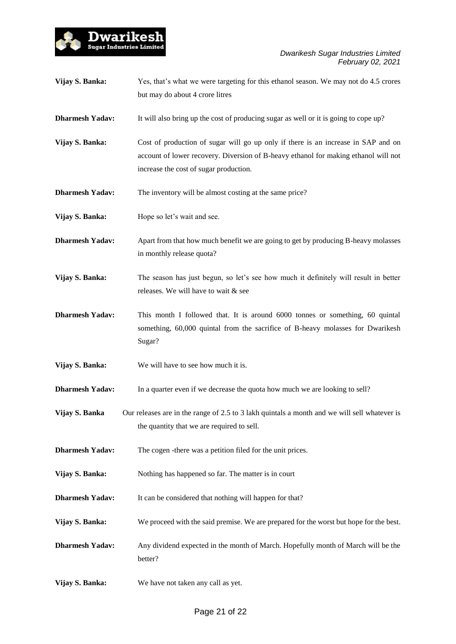

| Vijay S. Banka:        | Yes, that's what we were targeting for this ethanol season. We may not do 4.5 crores<br>but may do about 4 crore litres                                                                                            |
|------------------------|--------------------------------------------------------------------------------------------------------------------------------------------------------------------------------------------------------------------|
| <b>Dharmesh Yadav:</b> | It will also bring up the cost of producing sugar as well or it is going to cope up?                                                                                                                               |
| Vijay S. Banka:        | Cost of production of sugar will go up only if there is an increase in SAP and on<br>account of lower recovery. Diversion of B-heavy ethanol for making ethanol will not<br>increase the cost of sugar production. |
| <b>Dharmesh Yadav:</b> | The inventory will be almost costing at the same price?                                                                                                                                                            |
| Vijay S. Banka:        | Hope so let's wait and see.                                                                                                                                                                                        |
| <b>Dharmesh Yadav:</b> | Apart from that how much benefit we are going to get by producing B-heavy molasses<br>in monthly release quota?                                                                                                    |
| Vijay S. Banka:        | The season has just begun, so let's see how much it definitely will result in better<br>releases. We will have to wait & see                                                                                       |
| <b>Dharmesh Yadav:</b> | This month I followed that. It is around 6000 tonnes or something, 60 quintal<br>something, 60,000 quintal from the sacrifice of B-heavy molasses for Dwarikesh<br>Sugar?                                          |
| Vijay S. Banka:        | We will have to see how much it is.                                                                                                                                                                                |
| <b>Dharmesh Yadav:</b> | In a quarter even if we decrease the quota how much we are looking to sell?                                                                                                                                        |
| Vijay S. Banka         | Our releases are in the range of 2.5 to 3 lakh quintals a month and we will sell whatever is<br>the quantity that we are required to sell.                                                                         |
| <b>Dharmesh Yadav:</b> | The cogen -there was a petition filed for the unit prices.                                                                                                                                                         |
| Vijay S. Banka:        | Nothing has happened so far. The matter is in court                                                                                                                                                                |
| <b>Dharmesh Yadav:</b> | It can be considered that nothing will happen for that?                                                                                                                                                            |
| Vijay S. Banka:        | We proceed with the said premise. We are prepared for the worst but hope for the best.                                                                                                                             |
| <b>Dharmesh Yadav:</b> | Any dividend expected in the month of March. Hopefully month of March will be the<br>better?                                                                                                                       |
| Vijay S. Banka:        | We have not taken any call as yet.                                                                                                                                                                                 |